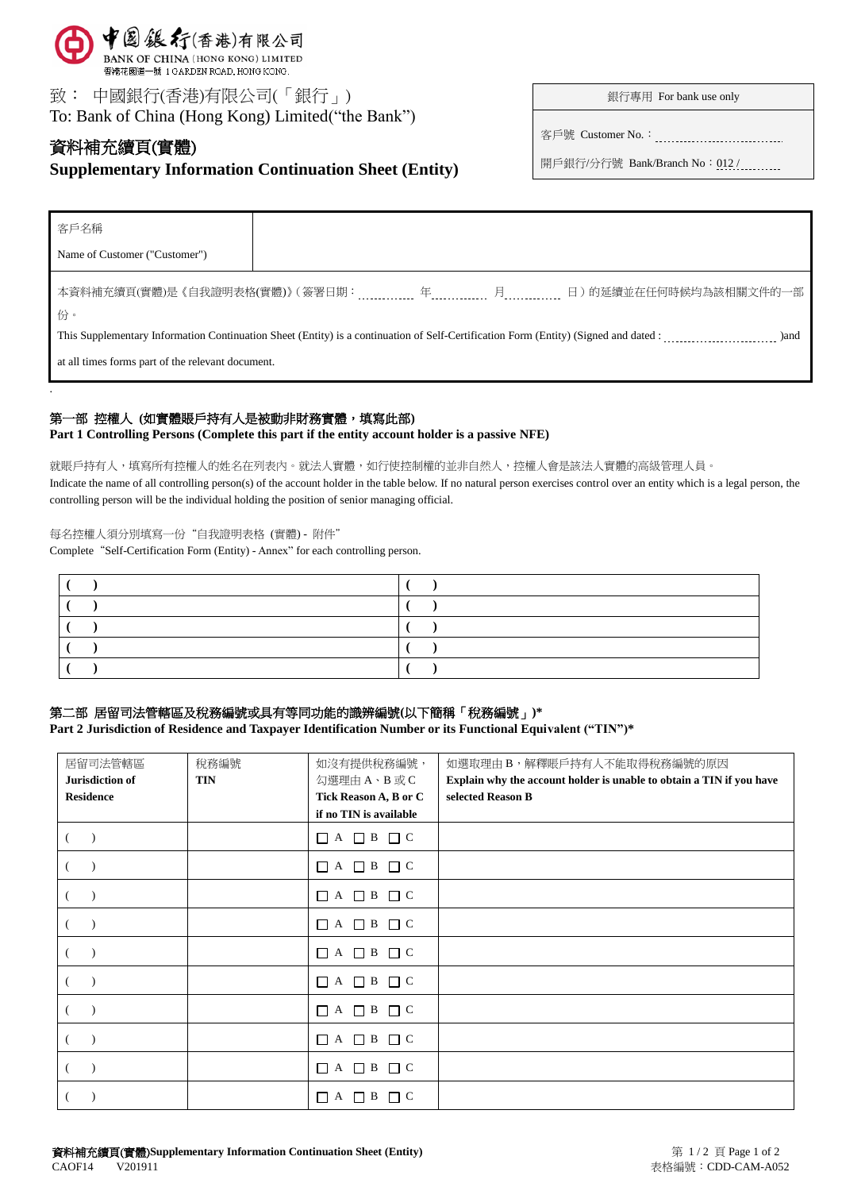

致: 中國銀行(香港)有限公司(「銀行」) To: Bank of China (Hong Kong) Limited("the Bank")

# 資料補充續頁(實體) **Supplementary Information Continuation Sheet (Entity)**

銀行專用 For bank use only

客戶號 Customer No.:

開戶銀行/分行號 Bank/Branch No: 012 /

| 客戶名稱                                                                                                                                         |  |  |  |                       |
|----------------------------------------------------------------------------------------------------------------------------------------------|--|--|--|-----------------------|
| Name of Customer ("Customer")                                                                                                                |  |  |  |                       |
| 份。                                                                                                                                           |  |  |  | 日)的延續並在任何時候均為該相關文件的一部 |
| This Supplementary Information Continuation Sheet (Entity) is a continuation of Self-Certification Form (Entity) (Signed and dated :<br>)and |  |  |  |                       |
| at all times forms part of the relevant document.                                                                                            |  |  |  |                       |
|                                                                                                                                              |  |  |  |                       |

## 第一部 控權人 (如實體賬戶持有人是被動非財務實體,填寫此部)

**Part 1 Controlling Persons (Complete this part if the entity account holder is a passive NFE)**

就賬戶持有人,填寫所有控權人的姓名在列表內。就法人實體,如行使控制權的並非自然人,控權人會是該法人實體的高級管理人員。

Indicate the name of all controlling person(s) of the account holder in the table below. If no natural person exercises control over an entity which is a legal person, the controlling person will be the individual holding the position of senior managing official.

#### 每名控權人須分別填寫一份"自我證明表格 (實體) - 附件"

Complete "Self-Certification Form (Entity) - Annex" for each controlling person.

## 第二部 居留司法管轄區及稅務編號或具有等同功能的識辨編號**(**以下簡稱「稅務編號」**)\***

**Part 2 Jurisdiction of Residence and Taxpayer Identification Number or its Functional Equivalent ("TIN")\***

| 居留司法管轄區          | 稅務編號       | 如沒有提供稅務編號,                 | 如選取理由B,解釋賬戶持有人不能取得稅務編號的原因                                            |
|------------------|------------|----------------------------|----------------------------------------------------------------------|
| Jurisdiction of  | <b>TIN</b> | 勾選理由 A、B 或 C               | Explain why the account holder is unable to obtain a TIN if you have |
| <b>Residence</b> |            | Tick Reason A, B or C      | selected Reason B                                                    |
|                  |            | if no TIN is available     |                                                                      |
| $\rightarrow$    |            | $\Box$ A $\Box$ B $\Box$ C |                                                                      |
|                  |            | $\Box$ A $\Box$ B $\Box$ C |                                                                      |
| $\rightarrow$    |            | $\Box A \Box B \Box C$     |                                                                      |
|                  |            | $\Box$ A $\Box$ B $\Box$ C |                                                                      |
|                  |            | $\Box$ A $\Box$ B $\Box$ C |                                                                      |
| $\rightarrow$    |            | $\Box$ A $\Box$ B $\Box$ C |                                                                      |
|                  |            | $\Box$ A $\Box$ B $\Box$ C |                                                                      |
|                  |            | $\Box$ A $\Box$ B $\Box$ C |                                                                      |
|                  |            | $\Box$ A $\Box$ B $\Box$ C |                                                                      |
|                  |            | B<br>$\Box C$<br>П<br>A    |                                                                      |